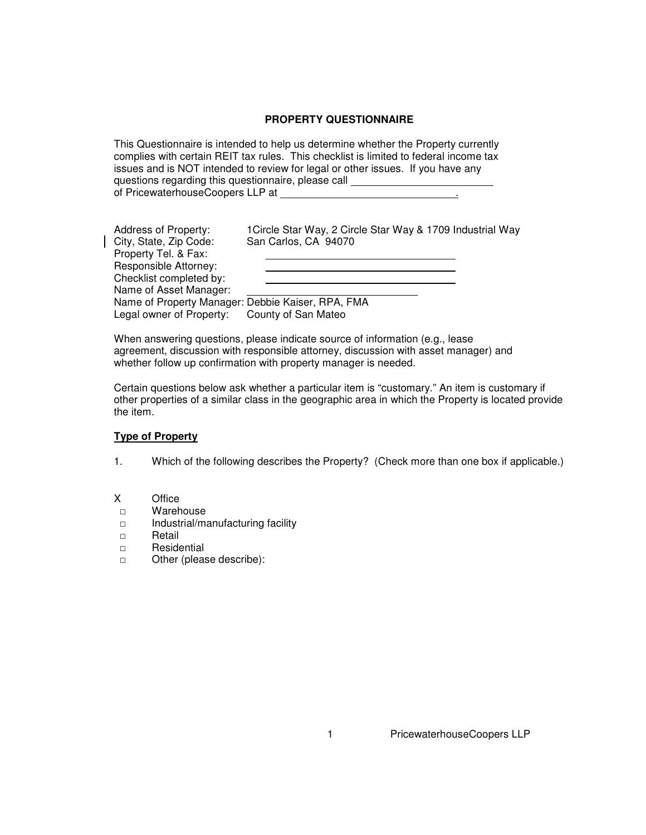### **PROPERTY QUESTIONNAIRE**

This Questionnaire is intended to help us determine whether the Property currently complies with certain REIT tax rules. This checklist is limited to federal income tax issues and is NOT intended to review for legal or other issues. If you have any questions regarding this questionnaire, please call of PricewaterhouseCoopers LLP at .

| Address of Property:<br>City, State, Zip Code:<br>Property Tel. & Fax: | 1 Circle Star Way, 2 Circle Star Way & 1709 Industrial Way<br>San Carlos, CA 94070 |  |  |  |
|------------------------------------------------------------------------|------------------------------------------------------------------------------------|--|--|--|
| <b>Responsible Attorney:</b>                                           |                                                                                    |  |  |  |
| Checklist completed by:                                                |                                                                                    |  |  |  |
| Name of Asset Manager:                                                 |                                                                                    |  |  |  |
| Name of Property Manager: Debbie Kaiser, RPA, FMA                      |                                                                                    |  |  |  |
| Legal owner of Property:                                               | County of San Mateo                                                                |  |  |  |

When answering questions, please indicate source of information (e.g., lease agreement, discussion with responsible attorney, discussion with asset manager) and whether follow up confirmation with property manager is needed.

Certain questions below ask whether a particular item is "customary." An item is customary if other properties of a similar class in the geographic area in which the Property is located provide the item.

### **Type of Property**

- 1. Which of the following describes the Property? (Check more than one box if applicable.)
- X Office
- □ Warehouse
- □ Industrial/manufacturing facility
- □ Retail
- □ Residential
- □ Other (please describe):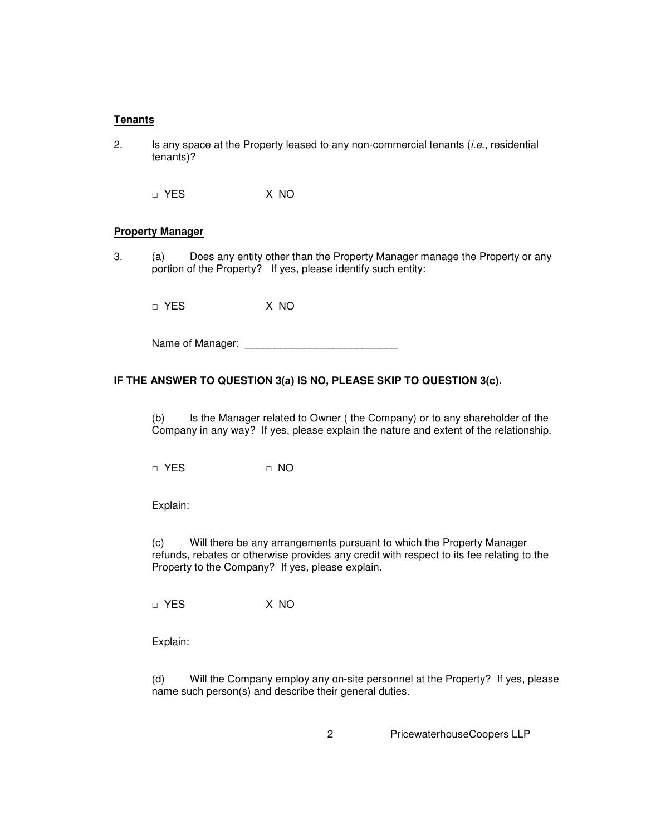#### **Tenants**

2. Is any space at the Property leased to any non-commercial tenants (*i.e.*, residential tenants)?

□ YES X NO

### **Property Manager**

3. (a) Does any entity other than the Property Manager manage the Property or any portion of the Property? If yes, please identify such entity:

□ YES X NO

Name of Manager: \_\_\_\_\_\_\_\_\_\_\_\_\_\_\_\_\_\_\_\_\_\_\_\_\_\_

## **IF THE ANSWER TO QUESTION 3(a) IS NO, PLEASE SKIP TO QUESTION 3(c).**

(b) Is the Manager related to Owner ( the Company) or to any shareholder of the Company in any way? If yes, please explain the nature and extent of the relationship.

□ YES □ □ NO

Explain:

(c) Will there be any arrangements pursuant to which the Property Manager refunds, rebates or otherwise provides any credit with respect to its fee relating to the Property to the Company? If yes, please explain.

□ YES X NO

Explain:

(d) Will the Company employ any on-site personnel at the Property? If yes, please name such person(s) and describe their general duties.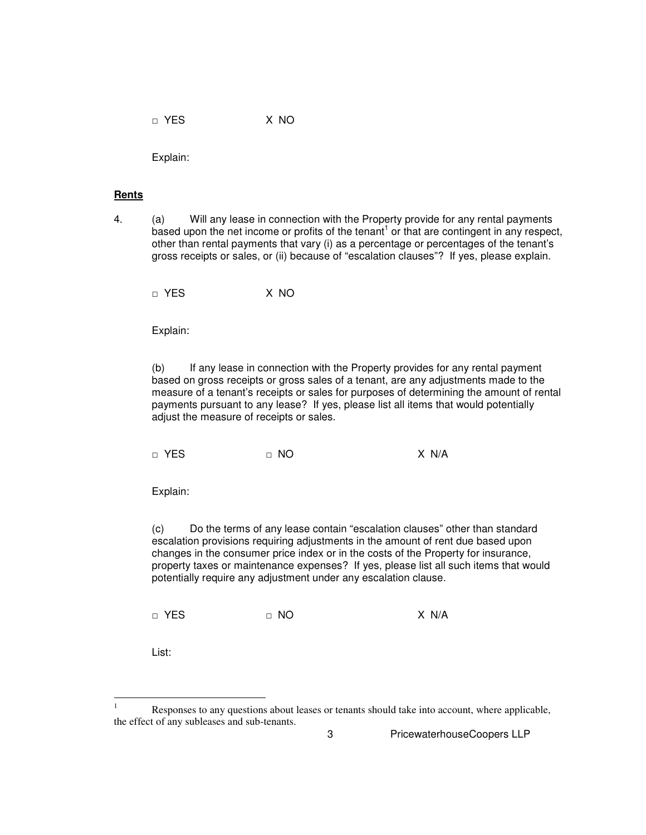□ YES X NO

Explain:

### **Rents**

4. (a) Will any lease in connection with the Property provide for any rental payments based upon the net income or profits of the tenant<sup>1</sup> or that are contingent in any respect, other than rental payments that vary (i) as a percentage or percentages of the tenant's gross receipts or sales, or (ii) because of "escalation clauses"? If yes, please explain.

□ YES X NO

Explain:

(b) If any lease in connection with the Property provides for any rental payment based on gross receipts or gross sales of a tenant, are any adjustments made to the measure of a tenant's receipts or sales for purposes of determining the amount of rental payments pursuant to any lease? If yes, please list all items that would potentially adjust the measure of receipts or sales.

□ YES □ NO X N/A

Explain:

(c) Do the terms of any lease contain "escalation clauses" other than standard escalation provisions requiring adjustments in the amount of rent due based upon changes in the consumer price index or in the costs of the Property for insurance, property taxes or maintenance expenses? If yes, please list all such items that would potentially require any adjustment under any escalation clause.

□ YES □ NO X N/A

List:

 $\overline{a}$ 

<sup>1</sup> Responses to any questions about leases or tenants should take into account, where applicable, the effect of any subleases and sub-tenants.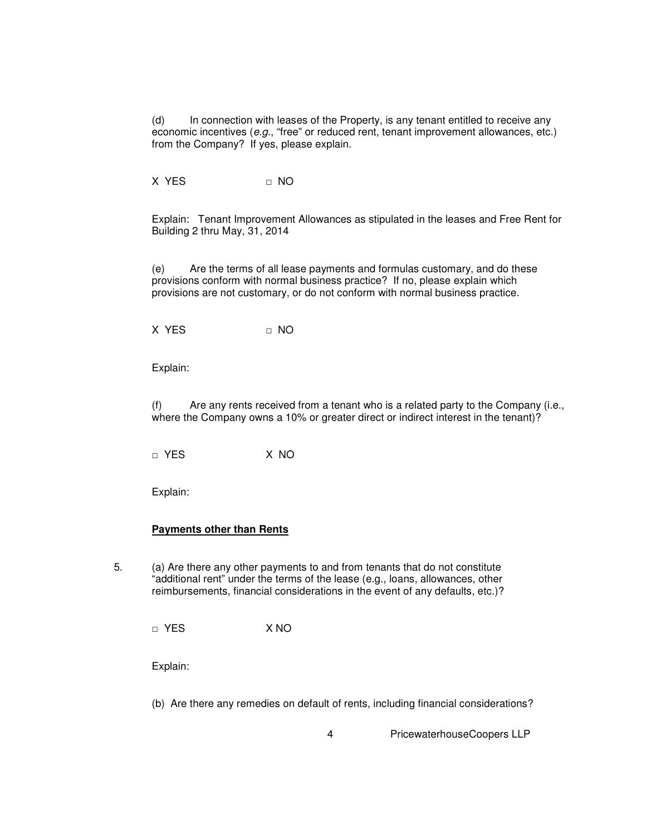(d) In connection with leases of the Property, is any tenant entitled to receive any economic incentives (e.g., "free" or reduced rent, tenant improvement allowances, etc.) from the Company? If yes, please explain.

X YES □ NO

Explain: Tenant Improvement Allowances as stipulated in the leases and Free Rent for Building 2 thru May, 31, 2014

(e) Are the terms of all lease payments and formulas customary, and do these provisions conform with normal business practice? If no, please explain which provisions are not customary, or do not conform with normal business practice.

X YES □ NO

Explain:

(f) Are any rents received from a tenant who is a related party to the Company (i.e., where the Company owns a 10% or greater direct or indirect interest in the tenant)?

□ YES X NO

Explain:

#### **Payments other than Rents**

5. (a) Are there any other payments to and from tenants that do not constitute "additional rent" under the terms of the lease (e.g., loans, allowances, other reimbursements, financial considerations in the event of any defaults, etc.)?

□ YES X NO

Explain:

(b) Are there any remedies on default of rents, including financial considerations?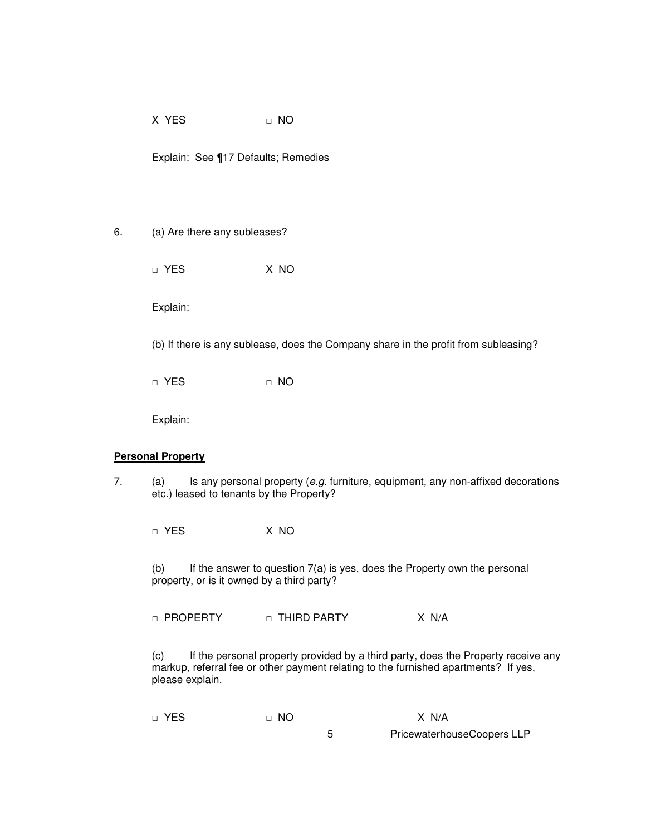$X$  YES  $\Pi$  NO

Explain: See ¶17 Defaults; Remedies

## 6. (a) Are there any subleases?

□ YES X NO

Explain:

(b) If there is any sublease, does the Company share in the profit from subleasing?

□ YES □ NO

Explain:

### **Personal Property**

7.  $(a)$  Is any personal property (e.g. furniture, equipment, any non-affixed decorations etc.) leased to tenants by the Property?

□ YES X NO

(b) If the answer to question  $7(a)$  is yes, does the Property own the personal property, or is it owned by a third party?

□ PROPERTY □ THIRD PARTY X N/A

(c) If the personal property provided by a third party, does the Property receive any markup, referral fee or other payment relating to the furnished apartments? If yes, please explain.

| □ YES | $\Box$ NO | X N/A                      |
|-------|-----------|----------------------------|
|       |           | PricewaterhouseCoopers LLP |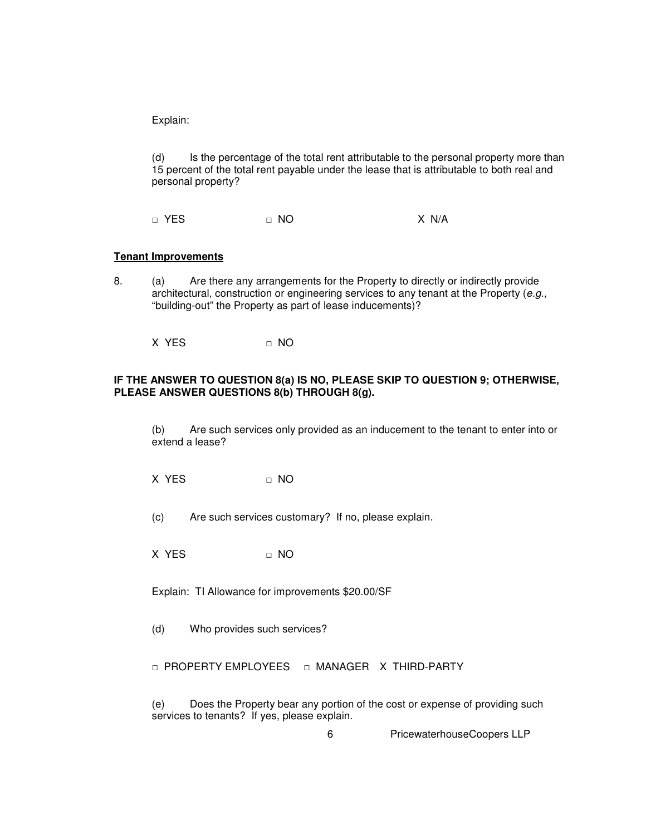(d) Is the percentage of the total rent attributable to the personal property more than 15 percent of the total rent payable under the lease that is attributable to both real and personal property?

□ YES □ NO X N/A

#### **Tenant Improvements**

8. (a) Are there any arrangements for the Property to directly or indirectly provide architectural, construction or engineering services to any tenant at the Property (e.g., "building-out" the Property as part of lease inducements)?

X YES □ NO

## **IF THE ANSWER TO QUESTION 8(a) IS NO, PLEASE SKIP TO QUESTION 9; OTHERWISE, PLEASE ANSWER QUESTIONS 8(b) THROUGH 8(g).**

(b) Are such services only provided as an inducement to the tenant to enter into or extend a lease?

 $X$  YES  $\Pi$  NO

(c) Are such services customary? If no, please explain.

 $X$  YES  $\Pi$  NO

Explain: TI Allowance for improvements \$20.00/SF

(d) Who provides such services?

□ PROPERTY EMPLOYEES □ MANAGER X THIRD-PARTY

(e) Does the Property bear any portion of the cost or expense of providing such services to tenants? If yes, please explain.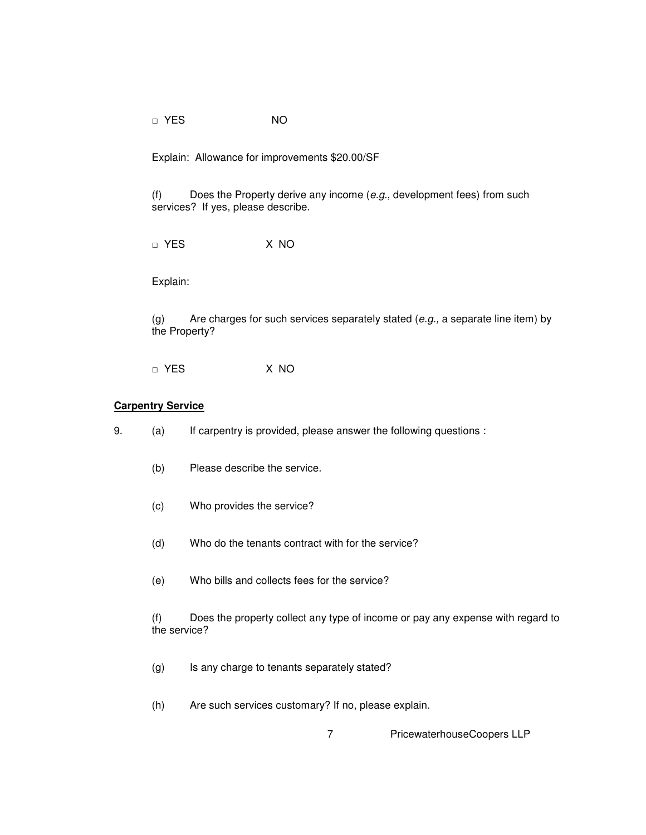□ YES NO

Explain: Allowance for improvements \$20.00/SF

(f) Does the Property derive any income  $(e.g.,\,d$  development fees) from such services? If yes, please describe.

□ YES X NO

Explain:

(g) Are charges for such services separately stated  $(e.g., a$  separate line item) by the Property?

□ YES X NO

# **Carpentry Service**

- 9. (a) If carpentry is provided, please answer the following questions :
	- (b) Please describe the service.
	- (c) Who provides the service?
	- (d) Who do the tenants contract with for the service?
	- (e) Who bills and collects fees for the service?

(f) Does the property collect any type of income or pay any expense with regard to the service?

- (g) Is any charge to tenants separately stated?
- (h) Are such services customary? If no, please explain.
	- 7 PricewaterhouseCoopers LLP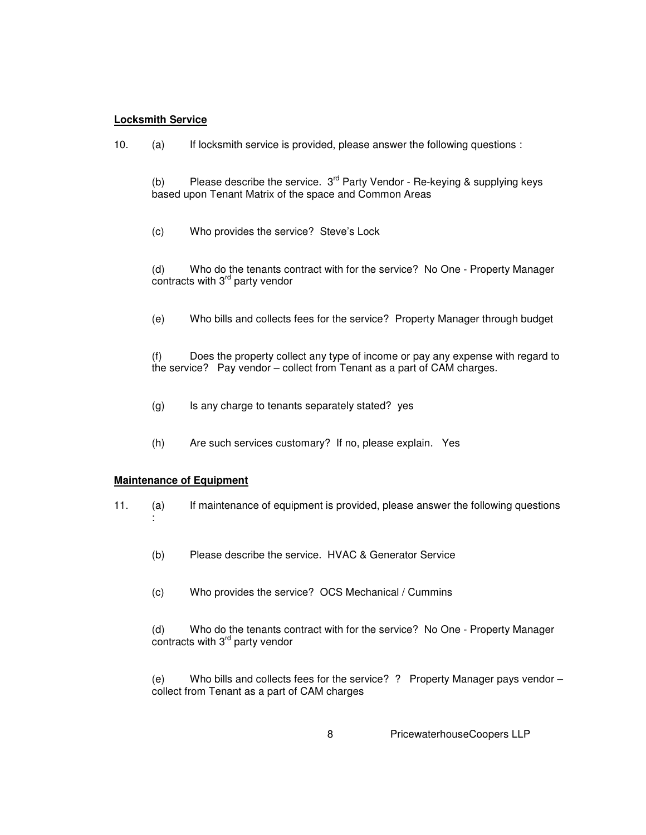## **Locksmith Service**

10. (a) If locksmith service is provided, please answer the following questions :

(b) Please describe the service.  $3^{rd}$  Party Vendor - Re-keying & supplying keys based upon Tenant Matrix of the space and Common Areas

(c) Who provides the service? Steve's Lock

(d) Who do the tenants contract with for the service? No One - Property Manager  $\overline{\text{co}}$ ntracts with 3 $\text{rd}$  party vendor

(e) Who bills and collects fees for the service? Property Manager through budget

(f) Does the property collect any type of income or pay any expense with regard to the service? Pay vendor – collect from Tenant as a part of CAM charges.

- (g) Is any charge to tenants separately stated? yes
- (h) Are such services customary? If no, please explain. Yes

### **Maintenance of Equipment**

:

- 11. (a) If maintenance of equipment is provided, please answer the following questions
	- (b) Please describe the service. HVAC & Generator Service
	- (c) Who provides the service? OCS Mechanical / Cummins

(d) Who do the tenants contract with for the service? No One - Property Manager contracts with 3<sup>rd</sup> party vendor

(e) Who bills and collects fees for the service? ? Property Manager pays vendor – collect from Tenant as a part of CAM charges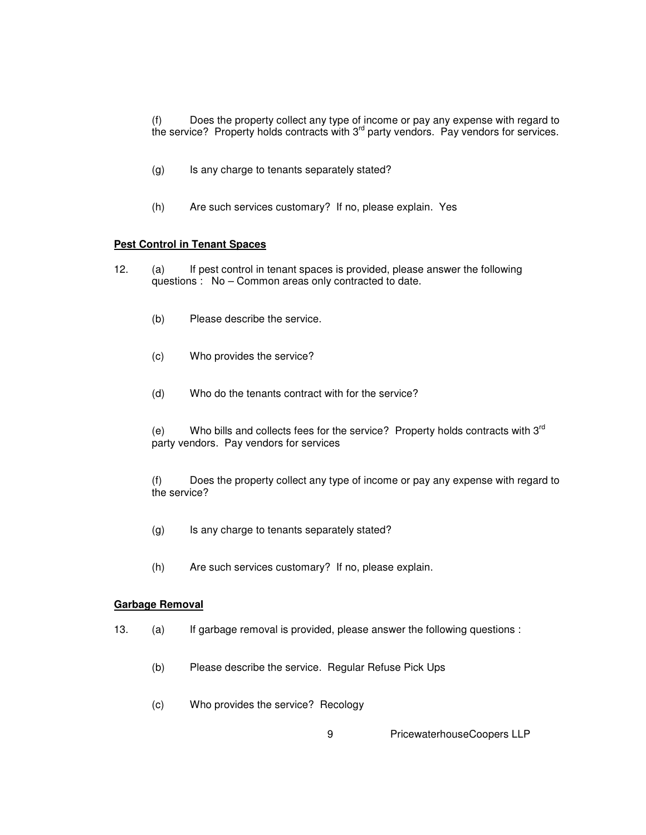(f) Does the property collect any type of income or pay any expense with regard to the service? Property holds contracts with 3<sup>rd</sup> party vendors. Pay vendors for services.

- (g) Is any charge to tenants separately stated?
- (h) Are such services customary? If no, please explain. Yes

## **Pest Control in Tenant Spaces**

- 12. (a) If pest control in tenant spaces is provided, please answer the following questions : No – Common areas only contracted to date.
	- (b) Please describe the service.
	- (c) Who provides the service?
	- (d) Who do the tenants contract with for the service?

(e) Who bills and collects fees for the service? Property holds contracts with  $3<sup>rd</sup>$ party vendors. Pay vendors for services

(f) Does the property collect any type of income or pay any expense with regard to the service?

- (g) Is any charge to tenants separately stated?
- (h) Are such services customary? If no, please explain.

#### **Garbage Removal**

- 13. (a) If garbage removal is provided, please answer the following questions :
	- (b) Please describe the service. Regular Refuse Pick Ups
	- (c) Who provides the service? Recology
		- 9 PricewaterhouseCoopers LLP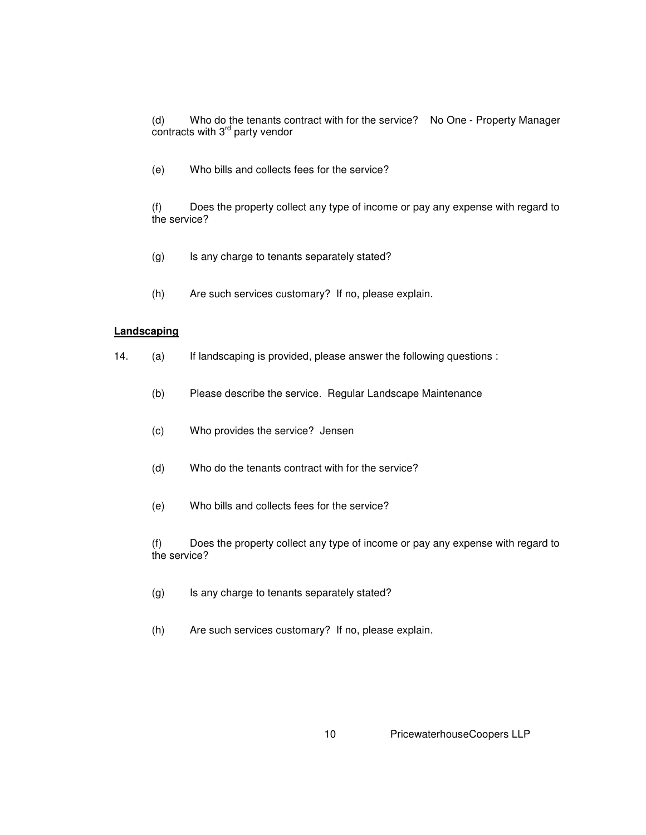(d) Who do the tenants contract with for the service? No One - Property Manager contracts with 3<sup>rd</sup> party vendor

(e) Who bills and collects fees for the service?

(f) Does the property collect any type of income or pay any expense with regard to the service?

- (g) Is any charge to tenants separately stated?
- (h) Are such services customary? If no, please explain.

### **Landscaping**

- 14. (a) If landscaping is provided, please answer the following questions :
	- (b) Please describe the service. Regular Landscape Maintenance
	- (c) Who provides the service? Jensen
	- (d) Who do the tenants contract with for the service?
	- (e) Who bills and collects fees for the service?

(f) Does the property collect any type of income or pay any expense with regard to the service?

- (g) Is any charge to tenants separately stated?
- (h) Are such services customary? If no, please explain.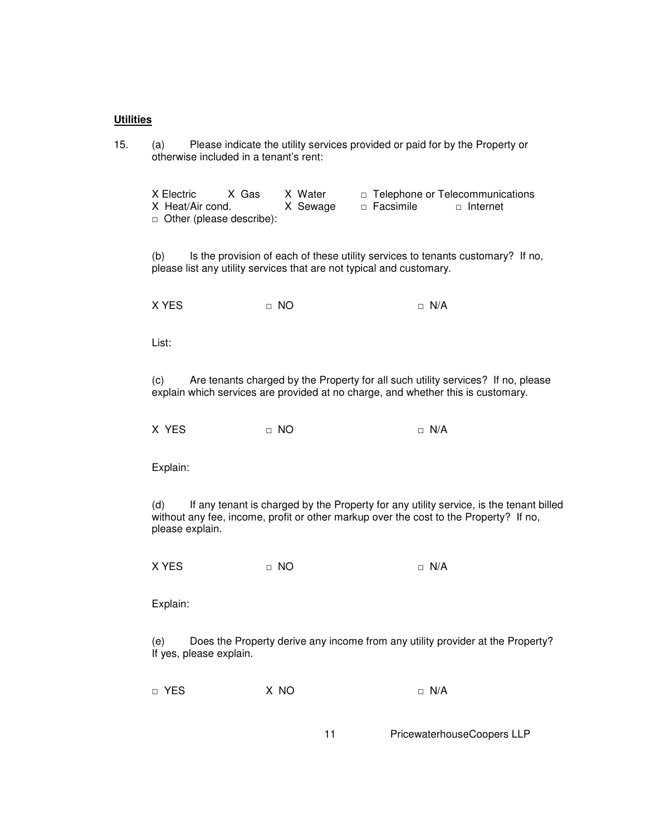#### **Utilities**

15. (a) Please indicate the utility services provided or paid for by the Property or otherwise included in a tenant's rent:

X Electric X Gas X Water □ Telephone or Telecommunications X Heat/Air cond. X Sewage □ Facsimile □ Internet □ Other (please describe):

(b) Is the provision of each of these utility services to tenants customary? If no, please list any utility services that are not typical and customary.

X YES □ NO □ N/A

List:

(c) Are tenants charged by the Property for all such utility services? If no, please explain which services are provided at no charge, and whether this is customary.

 $X \text{ } Y \text{ } ES$   $\qquad \qquad \cap \text{ } NO$   $\qquad \qquad \cap \text{ } N/A$ 

Explain:

(d) If any tenant is charged by the Property for any utility service, is the tenant billed without any fee, income, profit or other markup over the cost to the Property? If no, please explain.

X YES □ NO □ N/A

Explain:

(e) Does the Property derive any income from any utility provider at the Property? If yes, please explain.

□ YES X NO □ N/A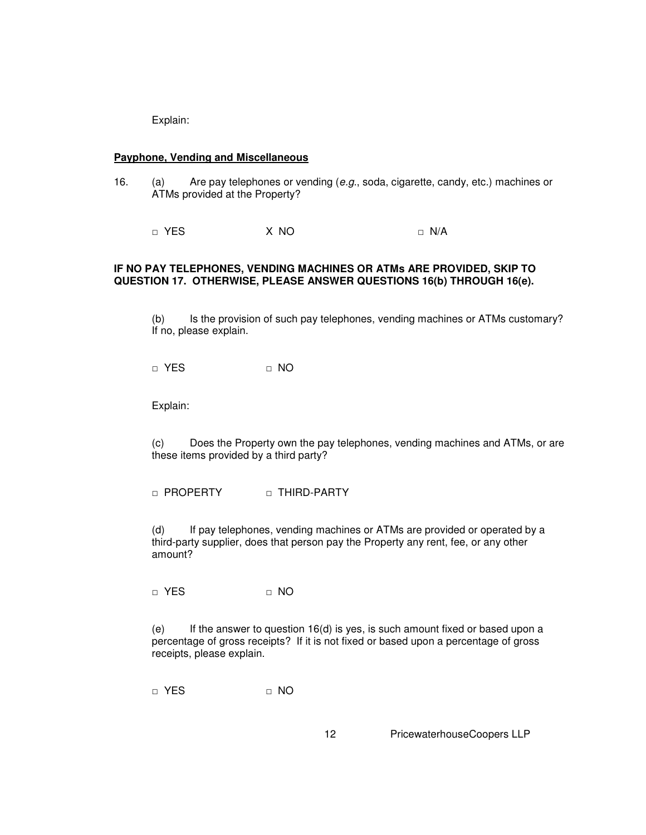### **Payphone, Vending and Miscellaneous**

16. (a) Are pay telephones or vending (e.g., soda, cigarette, candy, etc.) machines or ATMs provided at the Property?

□ YES X NO □ N/A

## **IF NO PAY TELEPHONES, VENDING MACHINES OR ATMs ARE PROVIDED, SKIP TO QUESTION 17. OTHERWISE, PLEASE ANSWER QUESTIONS 16(b) THROUGH 16(e).**

(b) Is the provision of such pay telephones, vending machines or ATMs customary? If no, please explain.

 $\Box$  YES  $\Box$  NO

Explain:

(c) Does the Property own the pay telephones, vending machines and ATMs, or are these items provided by a third party?

□ PROPERTY □ THIRD-PARTY

(d) If pay telephones, vending machines or ATMs are provided or operated by a third-party supplier, does that person pay the Property any rent, fee, or any other amount?

□ YES □ NO

(e) If the answer to question  $16(d)$  is yes, is such amount fixed or based upon a percentage of gross receipts? If it is not fixed or based upon a percentage of gross receipts, please explain.

□ YES □ NO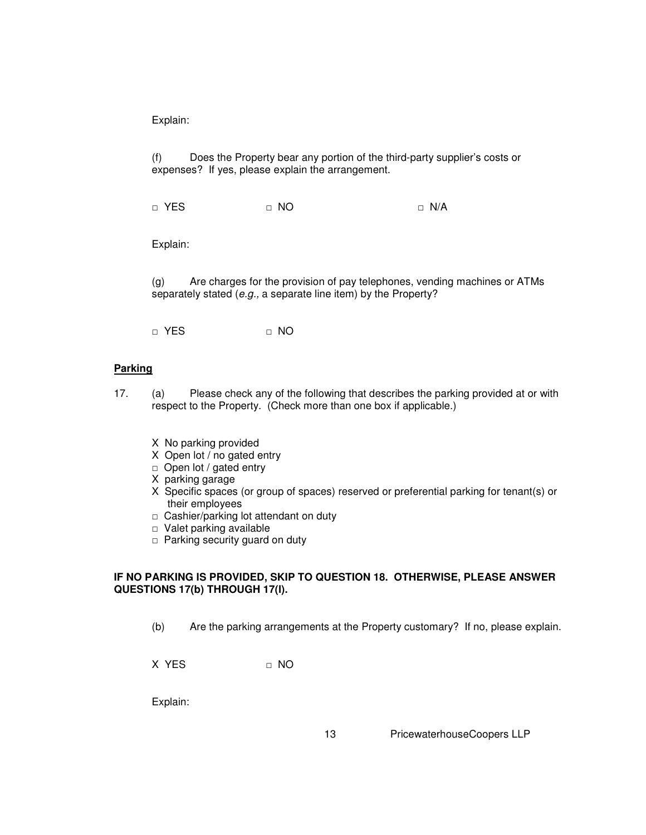(f) Does the Property bear any portion of the third-party supplier's costs or expenses? If yes, please explain the arrangement.

□ YES □ NO □ N/A

Explain:

(g) Are charges for the provision of pay telephones, vending machines or ATMs separately stated (e.g., a separate line item) by the Property?

□ YES □ NO

## **Parking**

- 17. (a) Please check any of the following that describes the parking provided at or with respect to the Property. (Check more than one box if applicable.)
	- X No parking provided
	- X Open lot / no gated entry
	- □ Open lot / gated entry
	- X parking garage
	- X Specific spaces (or group of spaces) reserved or preferential parking for tenant(s) or their employees
	- □ Cashier/parking lot attendant on duty
	- □ Valet parking available
	- $\Box$  Parking security guard on duty

## **IF NO PARKING IS PROVIDED, SKIP TO QUESTION 18. OTHERWISE, PLEASE ANSWER QUESTIONS 17(b) THROUGH 17(l).**

(b) Are the parking arrangements at the Property customary? If no, please explain.

X YES □ NO

Explain: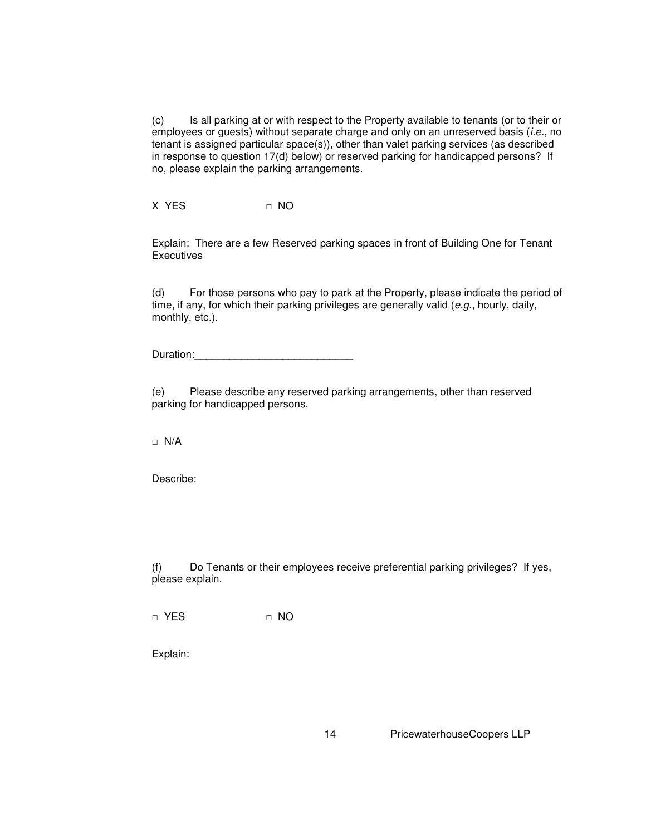(c) Is all parking at or with respect to the Property available to tenants (or to their or employees or guests) without separate charge and only on an unreserved basis (i.e., no tenant is assigned particular space(s)), other than valet parking services (as described in response to question 17(d) below) or reserved parking for handicapped persons? If no, please explain the parking arrangements.

X YES □ NO

Explain: There are a few Reserved parking spaces in front of Building One for Tenant **Executives** 

(d) For those persons who pay to park at the Property, please indicate the period of time, if any, for which their parking privileges are generally valid (e.g., hourly, daily, monthly, etc.).

Duration:

(e) Please describe any reserved parking arrangements, other than reserved parking for handicapped persons.

□ N/A

Describe:

(f) Do Tenants or their employees receive preferential parking privileges? If yes, please explain.

□ YES □ NO

Explain: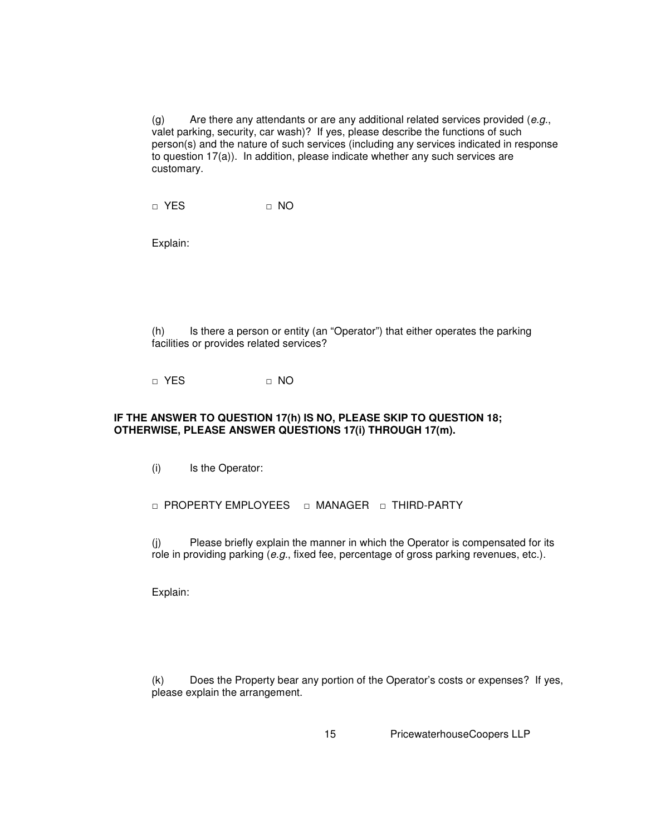$(g)$  Are there any attendants or are any additional related services provided  $(e.g.,)$ valet parking, security, car wash)? If yes, please describe the functions of such person(s) and the nature of such services (including any services indicated in response to question 17(a)). In addition, please indicate whether any such services are customary.

□ YES □ NO

Explain:

(h) Is there a person or entity (an "Operator") that either operates the parking facilities or provides related services?

□ YES □ NO

## **IF THE ANSWER TO QUESTION 17(h) IS NO, PLEASE SKIP TO QUESTION 18; OTHERWISE, PLEASE ANSWER QUESTIONS 17(i) THROUGH 17(m).**

(i) Is the Operator:

□ PROPERTY EMPLOYEES □ MANAGER □ THIRD-PARTY

(j) Please briefly explain the manner in which the Operator is compensated for its role in providing parking (e.g., fixed fee, percentage of gross parking revenues, etc.).

Explain:

(k) Does the Property bear any portion of the Operator's costs or expenses? If yes, please explain the arrangement.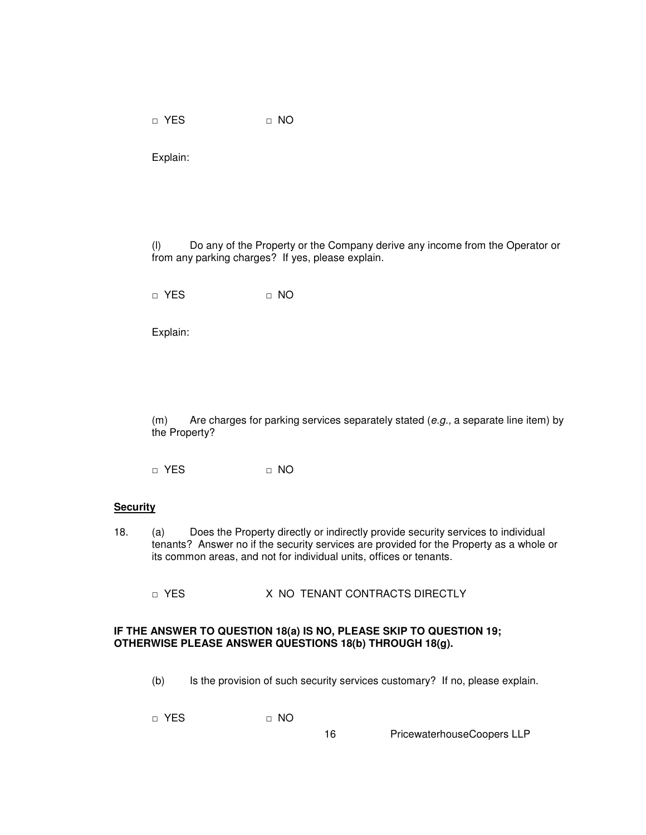□ YES □ NO

Explain:

(l) Do any of the Property or the Company derive any income from the Operator or from any parking charges? If yes, please explain.

□ YES □ NO

Explain:

(m) Are charges for parking services separately stated  $(e.g., a$  separate line item) by the Property?

□ YES □ NO

#### **Security**

18. (a) Does the Property directly or indirectly provide security services to individual tenants? Answer no if the security services are provided for the Property as a whole or its common areas, and not for individual units, offices or tenants.

□ YES X NO TENANT CONTRACTS DIRECTLY

### **IF THE ANSWER TO QUESTION 18(a) IS NO, PLEASE SKIP TO QUESTION 19; OTHERWISE PLEASE ANSWER QUESTIONS 18(b) THROUGH 18(g).**

(b) Is the provision of such security services customary? If no, please explain.

□ YES □ NO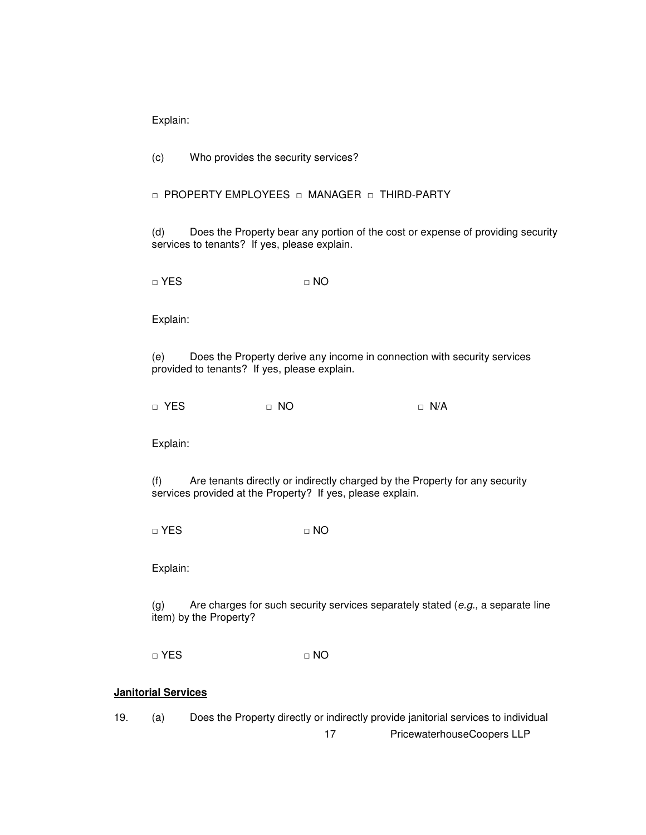(c) Who provides the security services?

□ PROPERTY EMPLOYEES □ MANAGER □ THIRD-PARTY

(d) Does the Property bear any portion of the cost or expense of providing security services to tenants? If yes, please explain.

□ YES □ NO

Explain:

(e) Does the Property derive any income in connection with security services provided to tenants? If yes, please explain.

□ YES □ NO □ N/A

Explain:

(f) Are tenants directly or indirectly charged by the Property for any security services provided at the Property? If yes, please explain.

□ YES □ NO

Explain:

(g) Are charges for such security services separately stated  $(e.g., a$  separate line item) by the Property?

□ YES □ NO

# **Janitorial Services**

17 PricewaterhouseCoopers LLP 19. (a) Does the Property directly or indirectly provide janitorial services to individual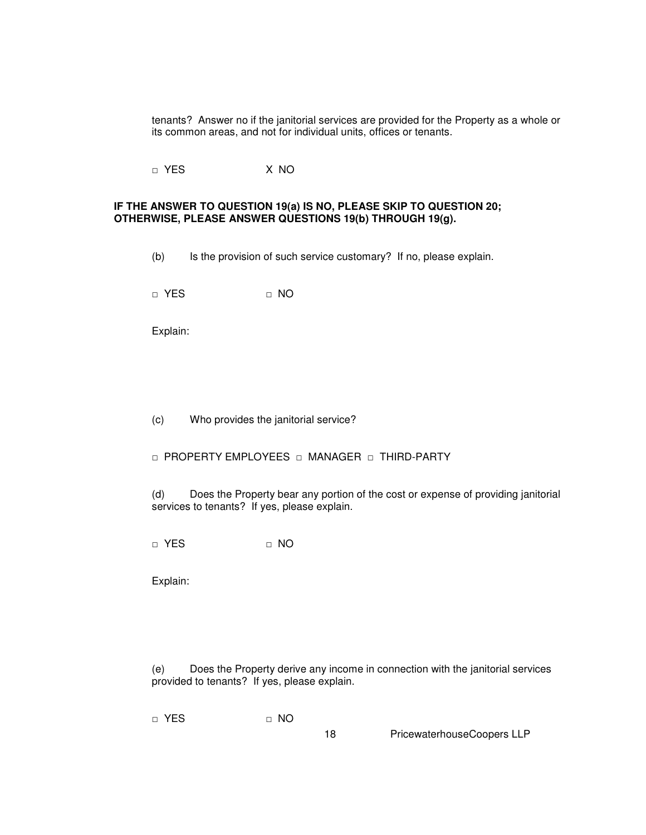tenants? Answer no if the janitorial services are provided for the Property as a whole or its common areas, and not for individual units, offices or tenants.

□ YES X NO

#### **IF THE ANSWER TO QUESTION 19(a) IS NO, PLEASE SKIP TO QUESTION 20; OTHERWISE, PLEASE ANSWER QUESTIONS 19(b) THROUGH 19(g).**

(b) Is the provision of such service customary? If no, please explain.

□ YES □ □ NO

Explain:

(c) Who provides the janitorial service?

□ PROPERTY EMPLOYEES □ MANAGER □ THIRD-PARTY

(d) Does the Property bear any portion of the cost or expense of providing janitorial services to tenants? If yes, please explain.

□ YES □ NO

Explain:

(e) Does the Property derive any income in connection with the janitorial services provided to tenants? If yes, please explain.

□ YES □ NO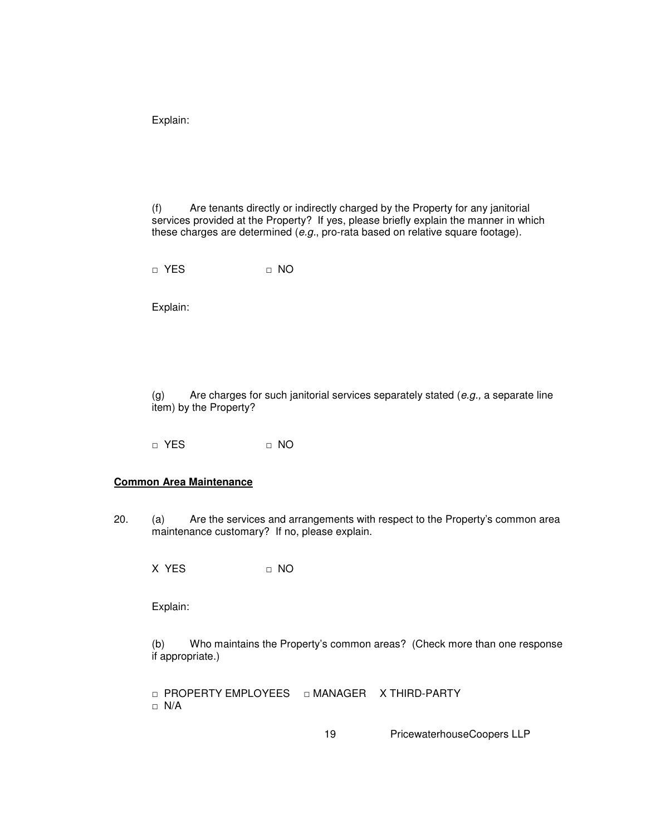(f) Are tenants directly or indirectly charged by the Property for any janitorial services provided at the Property? If yes, please briefly explain the manner in which these charges are determined (e.g., pro-rata based on relative square footage).

□ YES □ NO

Explain:

(g) Are charges for such janitorial services separately stated (e.g., a separate line item) by the Property?

□ YES □ NO

#### **Common Area Maintenance**

20. (a) Are the services and arrangements with respect to the Property's common area maintenance customary? If no, please explain.

 $X$  YES  $\Pi$  NO

Explain:

(b) Who maintains the Property's common areas? (Check more than one response if appropriate.)

□ PROPERTY EMPLOYEES □ MANAGER X THIRD-PARTY □ N/A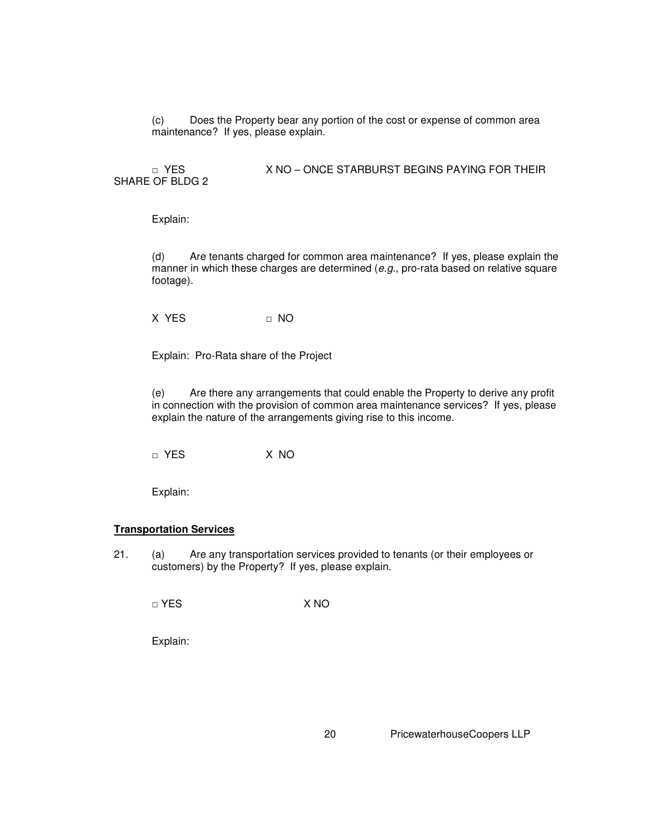(c) Does the Property bear any portion of the cost or expense of common area maintenance? If yes, please explain.

□ YES X NO – ONCE STARBURST BEGINS PAYING FOR THEIR SHARE OF BLDG 2

Explain:

(d) Are tenants charged for common area maintenance? If yes, please explain the manner in which these charges are determined (e.g., pro-rata based on relative square footage).

X YES □ NO

Explain: Pro-Rata share of the Project

(e) Are there any arrangements that could enable the Property to derive any profit in connection with the provision of common area maintenance services? If yes, please explain the nature of the arrangements giving rise to this income.

□ YES X NO

Explain:

#### **Transportation Services**

21. (a) Are any transportation services provided to tenants (or their employees or customers) by the Property? If yes, please explain.

□ YES X NO

Explain: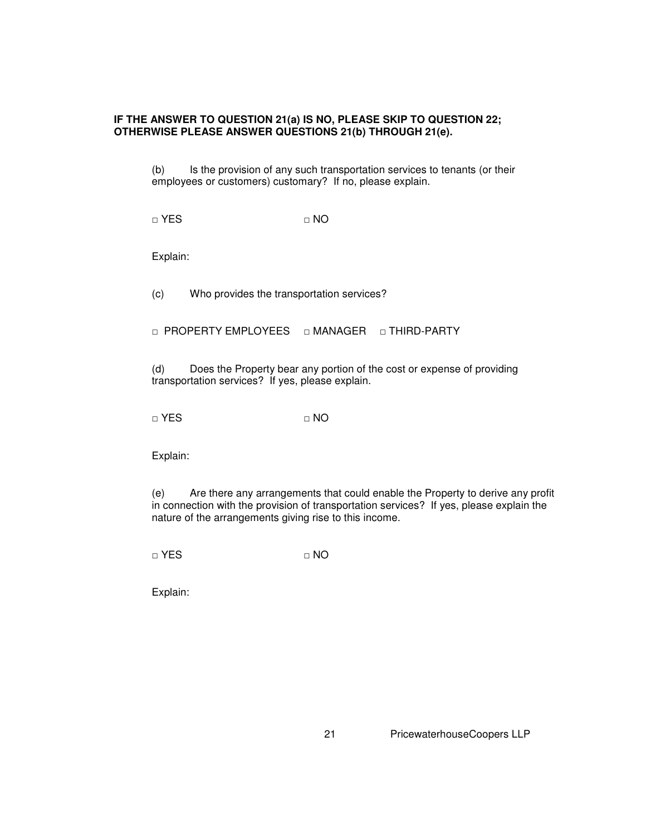## **IF THE ANSWER TO QUESTION 21(a) IS NO, PLEASE SKIP TO QUESTION 22; OTHERWISE PLEASE ANSWER QUESTIONS 21(b) THROUGH 21(e).**

(b) Is the provision of any such transportation services to tenants (or their employees or customers) customary? If no, please explain.

□ YES □ NO

Explain:

(c) Who provides the transportation services?

□ PROPERTY EMPLOYEES □ MANAGER □ THIRD-PARTY

(d) Does the Property bear any portion of the cost or expense of providing transportation services? If yes, please explain.

□ YES □ NO

Explain:

(e) Are there any arrangements that could enable the Property to derive any profit in connection with the provision of transportation services? If yes, please explain the nature of the arrangements giving rise to this income.

 $\Box$  YES  $\Box$  NO

Explain: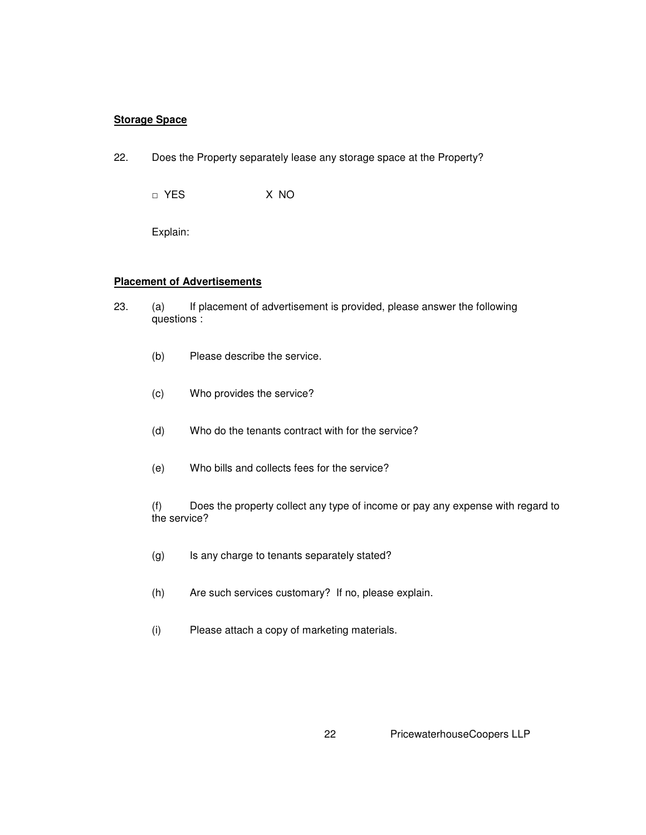## **Storage Space**

22. Does the Property separately lease any storage space at the Property?

□ YES X NO

Explain:

## **Placement of Advertisements**

- 23. (a) If placement of advertisement is provided, please answer the following questions :
	- (b) Please describe the service.
	- (c) Who provides the service?
	- (d) Who do the tenants contract with for the service?
	- (e) Who bills and collects fees for the service?

(f) Does the property collect any type of income or pay any expense with regard to the service?

- (g) Is any charge to tenants separately stated?
- (h) Are such services customary? If no, please explain.
- (i) Please attach a copy of marketing materials.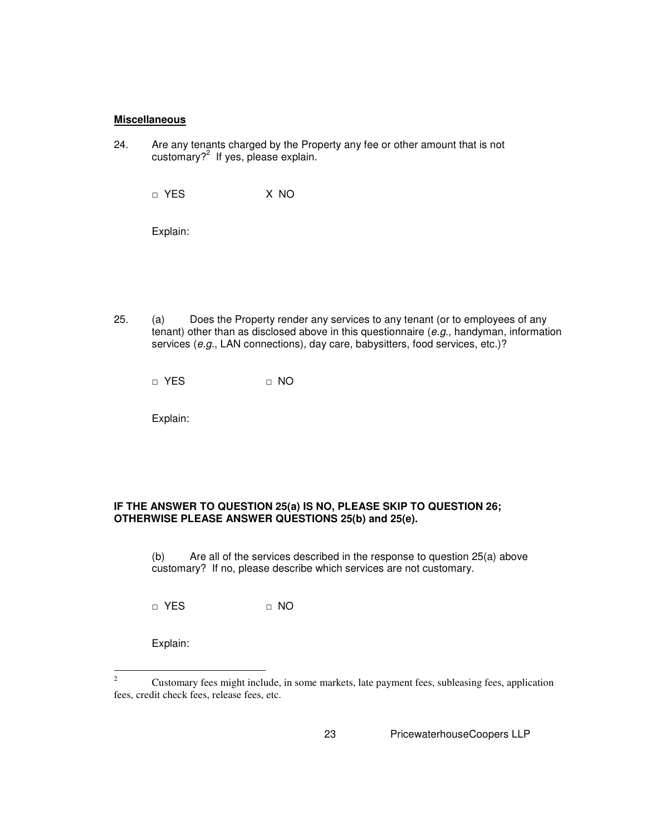#### **Miscellaneous**

24. Are any tenants charged by the Property any fee or other amount that is not customary?<sup>2</sup> If yes, please explain.

□ YES X NO

Explain:

25. (a) Does the Property render any services to any tenant (or to employees of any tenant) other than as disclosed above in this questionnaire (e.g., handyman, information services (e.g., LAN connections), day care, babysitters, food services, etc.)?

□ YES □ NO

Explain:

## **IF THE ANSWER TO QUESTION 25(a) IS NO, PLEASE SKIP TO QUESTION 26; OTHERWISE PLEASE ANSWER QUESTIONS 25(b) and 25(e).**

(b) Are all of the services described in the response to question 25(a) above customary? If no, please describe which services are not customary.

□ YES □ NO

Explain:

 $\frac{1}{2}$  Customary fees might include, in some markets, late payment fees, subleasing fees, application fees, credit check fees, release fees, etc.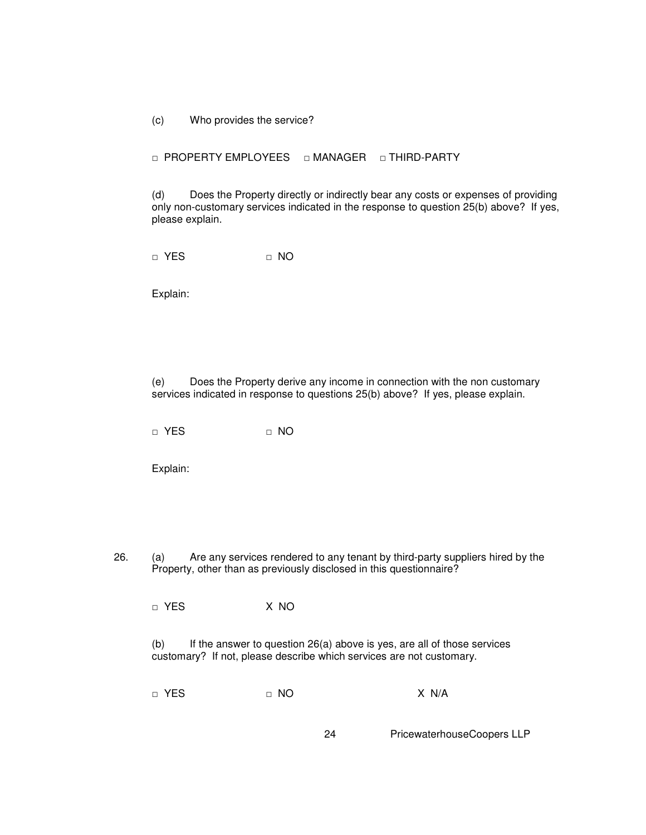(c) Who provides the service?

□ PROPERTY EMPLOYEES □ MANAGER □ THIRD-PARTY

(d) Does the Property directly or indirectly bear any costs or expenses of providing only non-customary services indicated in the response to question 25(b) above? If yes, please explain.

□ YES □ NO

Explain:

(e) Does the Property derive any income in connection with the non customary services indicated in response to questions 25(b) above? If yes, please explain.

□ YES □ NO

Explain:

26. (a) Are any services rendered to any tenant by third-party suppliers hired by the Property, other than as previously disclosed in this questionnaire?

□ YES X NO

(b) If the answer to question 26(a) above is yes, are all of those services customary? If not, please describe which services are not customary.

□ YES □ NO X N/A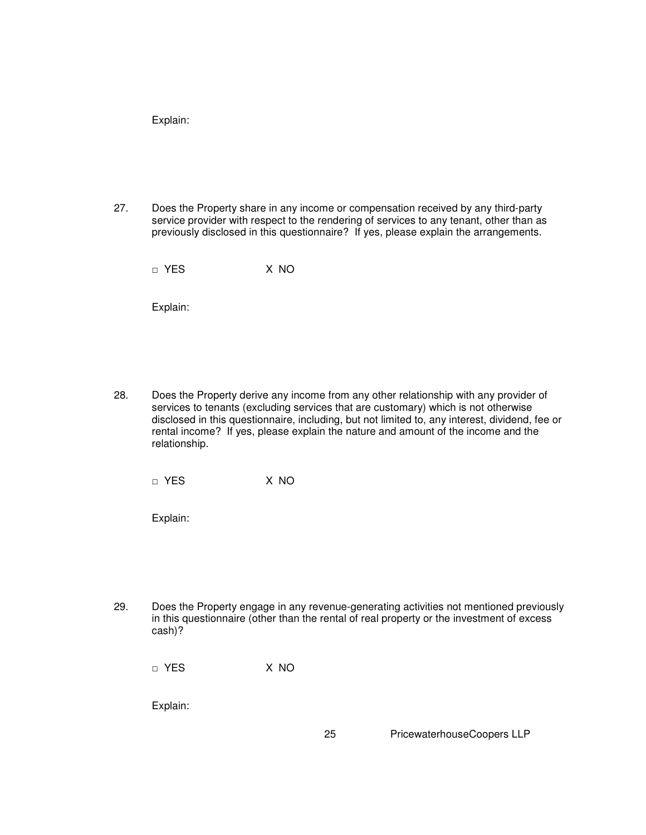27. Does the Property share in any income or compensation received by any third-party service provider with respect to the rendering of services to any tenant, other than as previously disclosed in this questionnaire? If yes, please explain the arrangements.

□ YES X NO

Explain:

28. Does the Property derive any income from any other relationship with any provider of services to tenants (excluding services that are customary) which is not otherwise disclosed in this questionnaire, including, but not limited to, any interest, dividend, fee or rental income? If yes, please explain the nature and amount of the income and the relationship.

□ YES X NO

Explain:

29. Does the Property engage in any revenue-generating activities not mentioned previously in this questionnaire (other than the rental of real property or the investment of excess cash)?

□ YES X NO

Explain: